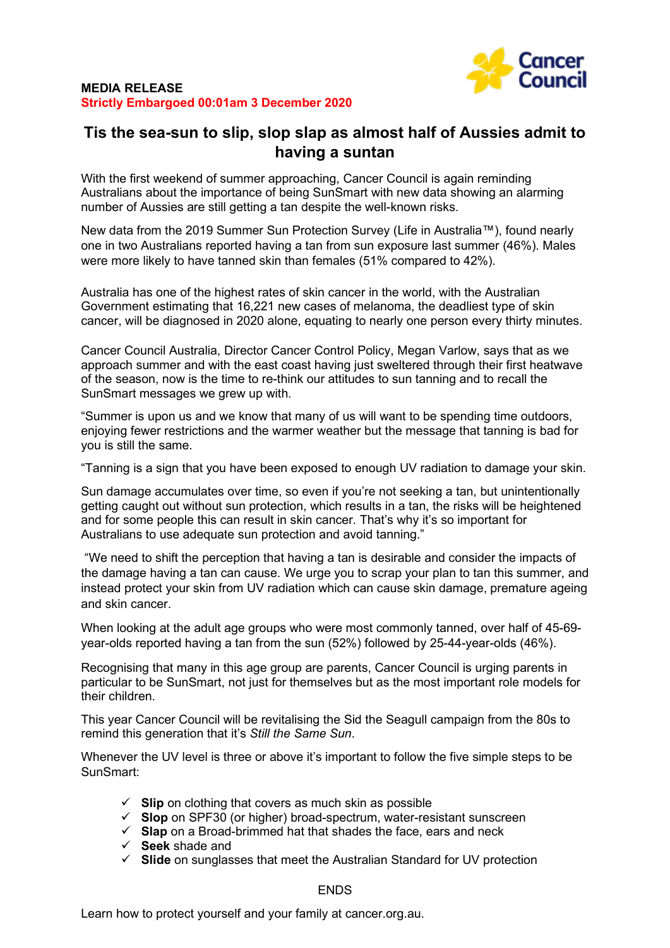

## **Tis the sea-sun to slip, slop slap as almost half of Aussies admit to having a suntan**

With the first weekend of summer approaching, Cancer Council is again reminding Australians about the importance of being SunSmart with new data showing an alarming number of Aussies are still getting a tan despite the well-known risks.

New data from the 2019 Summer Sun Protection Survey (Life in Australia™), found nearly one in two Australians reported having a tan from sun exposure last summer (46%). Males were more likely to have tanned skin than females (51% compared to 42%).

Australia has one of the highest rates of skin cancer in the world, with the Australian Government estimating that 16,221 new cases of melanoma, the deadliest type of skin cancer, will be diagnosed in 2020 alone, equating to nearly one person every thirty minutes.

Cancer Council Australia, Director Cancer Control Policy, Megan Varlow, says that as we approach summer and with the east coast having just sweltered through their first heatwave of the season, now is the time to re-think our attitudes to sun tanning and to recall the SunSmart messages we grew up with.

"Summer is upon us and we know that many of us will want to be spending time outdoors, enjoying fewer restrictions and the warmer weather but the message that tanning is bad for you is still the same.

"Tanning is a sign that you have been exposed to enough UV radiation to damage your skin.

Sun damage accumulates over time, so even if you're not seeking a tan, but unintentionally getting caught out without sun protection, which results in a tan, the risks will be heightened and for some people this can result in skin cancer. That's why it's so important for Australians to use adequate sun protection and avoid tanning."

"We need to shift the perception that having a tan is desirable and consider the impacts of the damage having a tan can cause. We urge you to scrap your plan to tan this summer, and instead protect your skin from UV radiation which can cause skin damage, premature ageing and skin cancer.

When looking at the adult age groups who were most commonly tanned, over half of 45-69 year-olds reported having a tan from the sun (52%) followed by 25-44-year-olds (46%).

Recognising that many in this age group are parents, Cancer Council is urging parents in particular to be SunSmart, not just for themselves but as the most important role models for their children.

This year Cancer Council will be revitalising the Sid the Seagull campaign from the 80s to remind this generation that it's *Still the Same Sun*.

Whenever the UV level is three or above it's important to follow the five simple steps to be SunSmart:

- $\checkmark$  **Slip** on clothing that covers as much skin as possible
- **Slop** on SPF30 (or higher) broad-spectrum, water-resistant sunscreen
- **Slap** on a Broad-brimmed hat that shades the face, ears and neck
- **Seek** shade and
- **Slide** on sunglasses that meet the Australian Standard for UV protection

ENDS